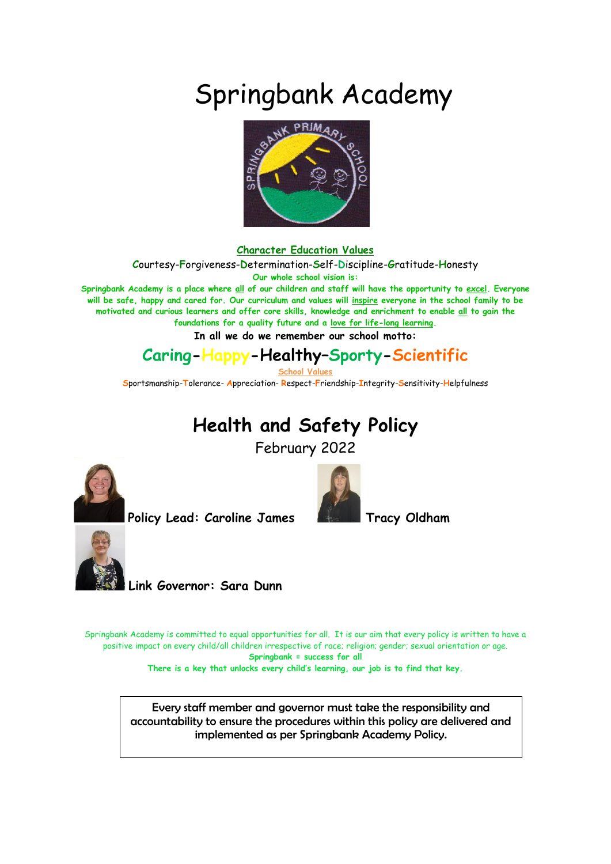# Springbank Academy



#### **Character Education Values**

**C**ourtesy-**F**orgiveness-**D**etermination-**S**elf-**D**iscipline-**G**ratitude-**H**onesty

**Our whole school vision is:**

**Springbank Academy is a place where all of our children and staff will have the opportunity to excel. Everyone will be safe, happy and cared for. Our curriculum and values will inspire everyone in the school family to be motivated and curious learners and offer core skills, knowledge and enrichment to enable all to gain the foundations for a quality future and a love for life-long learning.**

**In all we do we remember our school motto:**

### **Caring-Happy-Healthy–Sporty-Scientific**

**School Values**

**S**portsmanship-**T**olerance- **A**ppreciation- **R**espect-**F**riendship-**I**ntegrity-**S**ensitivity-**H**elpfulness

# **Health and Safety Policy**

February 2022



Policy Lead: Caroline James **The Law Tracy Oldham** 





**Link Governor: Sara Dunn** 

Springbank Academy is committed to equal opportunities for all. It is our aim that every policy is written to have a positive impact on every child/all children irrespective of race; religion; gender; sexual orientation or age. **Springbank = success for all**

**There is a key that unlocks every child's learning, our job is to find that key.**

Every staff member and governor must take the responsibility and accountability to ensure the procedures within this policy are delivered and implemented as per Springbank Academy Policy.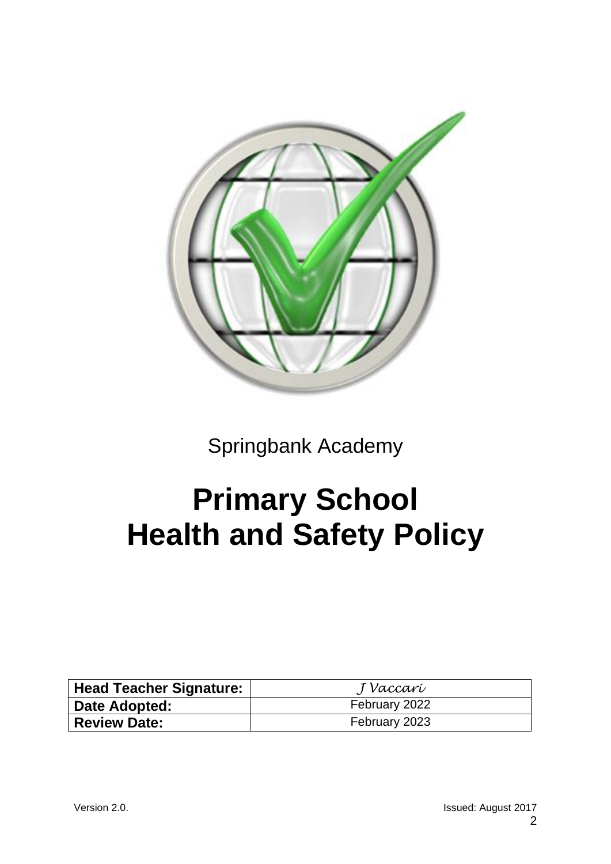

Springbank Academy

# **Primary School Health and Safety Policy**

| Head Teacher Signature: | J Vaccarí     |
|-------------------------|---------------|
| Date Adopted:           | February 2022 |
| <b>Review Date:</b>     | February 2023 |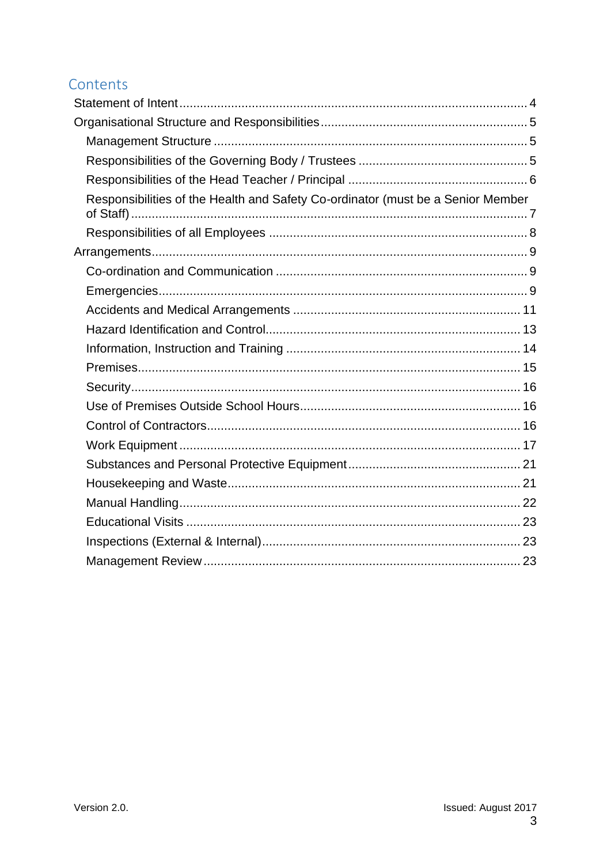### Contents

| Responsibilities of the Health and Safety Co-ordinator (must be a Senior Member |  |
|---------------------------------------------------------------------------------|--|
|                                                                                 |  |
|                                                                                 |  |
|                                                                                 |  |
|                                                                                 |  |
|                                                                                 |  |
|                                                                                 |  |
|                                                                                 |  |
|                                                                                 |  |
|                                                                                 |  |
|                                                                                 |  |
|                                                                                 |  |
|                                                                                 |  |
|                                                                                 |  |
|                                                                                 |  |
|                                                                                 |  |
|                                                                                 |  |
|                                                                                 |  |
|                                                                                 |  |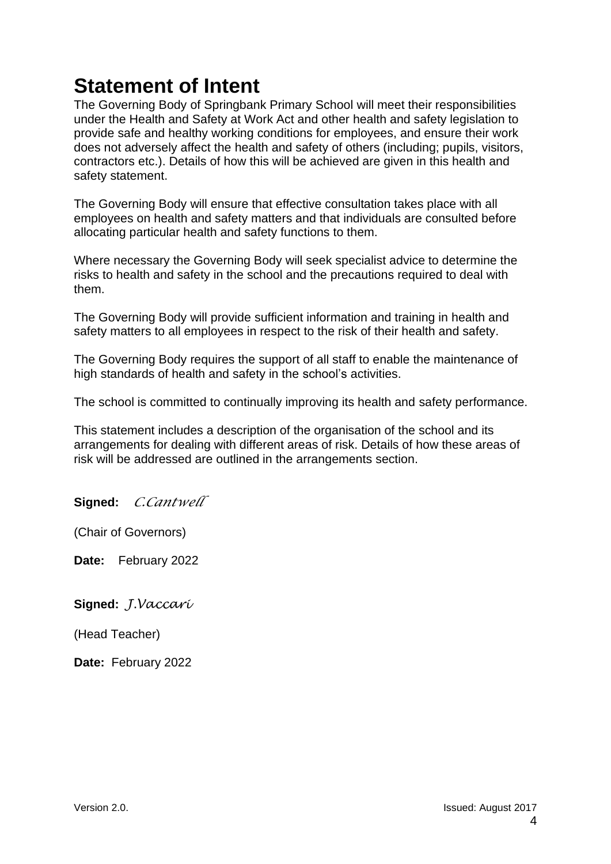# <span id="page-3-0"></span>**Statement of Intent**

The Governing Body of Springbank Primary School will meet their responsibilities under the Health and Safety at Work Act and other health and safety legislation to provide safe and healthy working conditions for employees, and ensure their work does not adversely affect the health and safety of others (including; pupils, visitors, contractors etc.). Details of how this will be achieved are given in this health and safety statement.

The Governing Body will ensure that effective consultation takes place with all employees on health and safety matters and that individuals are consulted before allocating particular health and safety functions to them.

Where necessary the Governing Body will seek specialist advice to determine the risks to health and safety in the school and the precautions required to deal with them.

The Governing Body will provide sufficient information and training in health and safety matters to all employees in respect to the risk of their health and safety.

The Governing Body requires the support of all staff to enable the maintenance of high standards of health and safety in the school's activities.

The school is committed to continually improving its health and safety performance.

This statement includes a description of the organisation of the school and its arrangements for dealing with different areas of risk. Details of how these areas of risk will be addressed are outlined in the arrangements section.

**Signed:** *C.Cantwell*

(Chair of Governors)

**Date:** February 2022

**Signed:** *J.Vaccari*

(Head Teacher)

**Date:** February 2022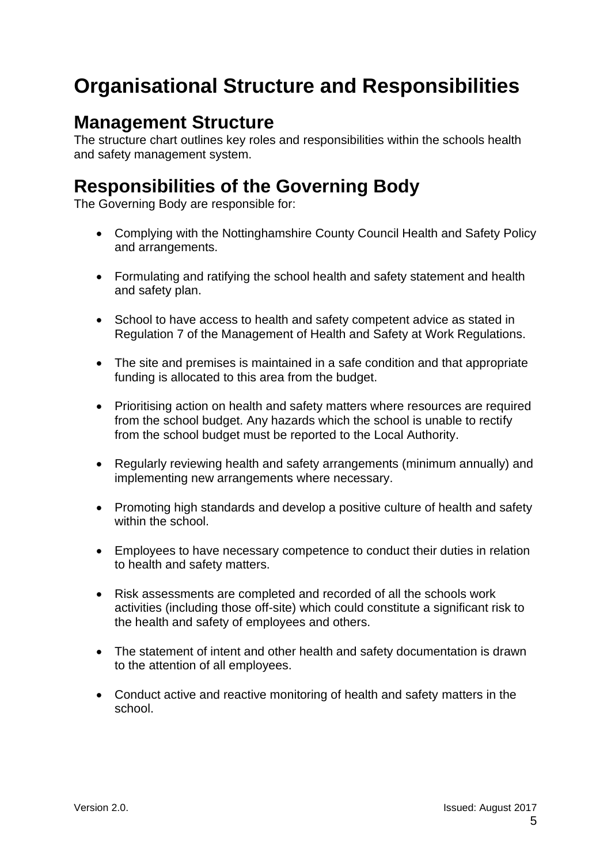# <span id="page-4-0"></span>**Organisational Structure and Responsibilities**

### <span id="page-4-1"></span>**Management Structure**

The structure chart outlines key roles and responsibilities within the schools health and safety management system.

# <span id="page-4-2"></span>**Responsibilities of the Governing Body**

The Governing Body are responsible for:

- Complying with the Nottinghamshire County Council Health and Safety Policy and arrangements.
- Formulating and ratifying the school health and safety statement and health and safety plan.
- School to have access to health and safety competent advice as stated in Regulation 7 of the Management of Health and Safety at Work Regulations.
- The site and premises is maintained in a safe condition and that appropriate funding is allocated to this area from the budget.
- Prioritising action on health and safety matters where resources are required from the school budget. Any hazards which the school is unable to rectify from the school budget must be reported to the Local Authority.
- Regularly reviewing health and safety arrangements (minimum annually) and implementing new arrangements where necessary.
- Promoting high standards and develop a positive culture of health and safety within the school.
- Employees to have necessary competence to conduct their duties in relation to health and safety matters.
- Risk assessments are completed and recorded of all the schools work activities (including those off-site) which could constitute a significant risk to the health and safety of employees and others.
- The statement of intent and other health and safety documentation is drawn to the attention of all employees.
- Conduct active and reactive monitoring of health and safety matters in the school.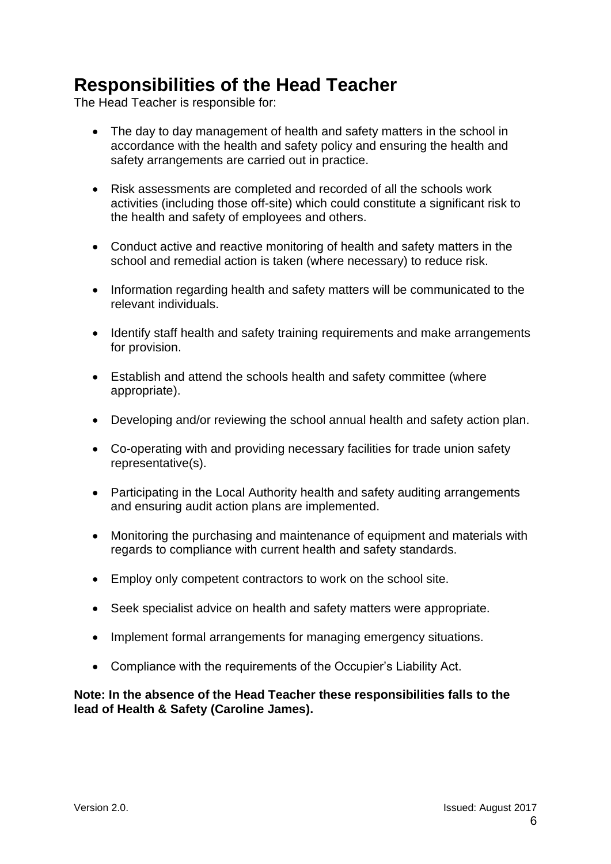# <span id="page-5-0"></span>**Responsibilities of the Head Teacher**

The Head Teacher is responsible for:

- The day to day management of health and safety matters in the school in accordance with the health and safety policy and ensuring the health and safety arrangements are carried out in practice.
- Risk assessments are completed and recorded of all the schools work activities (including those off-site) which could constitute a significant risk to the health and safety of employees and others.
- Conduct active and reactive monitoring of health and safety matters in the school and remedial action is taken (where necessary) to reduce risk.
- Information regarding health and safety matters will be communicated to the relevant individuals.
- Identify staff health and safety training requirements and make arrangements for provision.
- Establish and attend the schools health and safety committee (where appropriate).
- Developing and/or reviewing the school annual health and safety action plan.
- Co-operating with and providing necessary facilities for trade union safety representative(s).
- Participating in the Local Authority health and safety auditing arrangements and ensuring audit action plans are implemented.
- Monitoring the purchasing and maintenance of equipment and materials with regards to compliance with current health and safety standards.
- Employ only competent contractors to work on the school site.
- Seek specialist advice on health and safety matters were appropriate.
- Implement formal arrangements for managing emergency situations.
- Compliance with the requirements of the Occupier's Liability Act.

**Note: In the absence of the Head Teacher these responsibilities falls to the lead of Health & Safety (Caroline James).**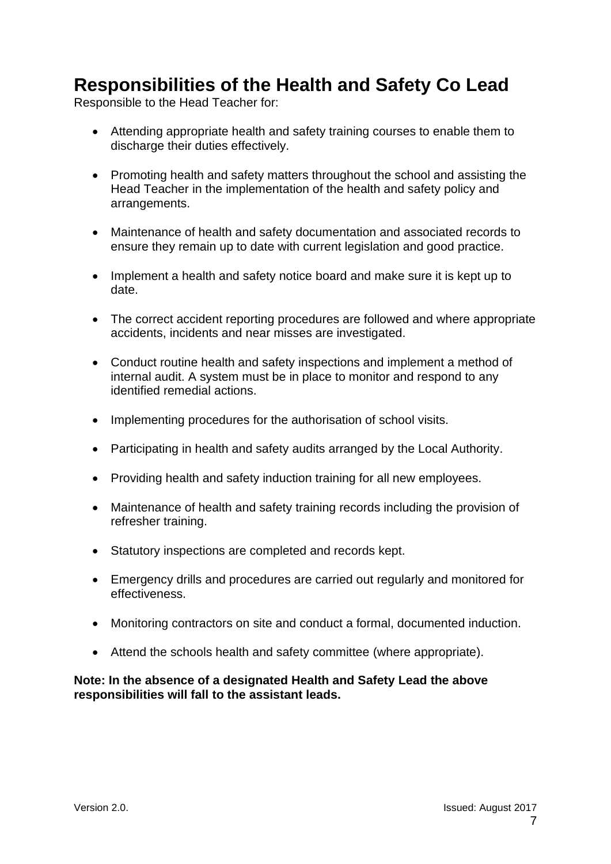## <span id="page-6-0"></span>**Responsibilities of the Health and Safety Co Lead**

Responsible to the Head Teacher for:

- Attending appropriate health and safety training courses to enable them to discharge their duties effectively.
- Promoting health and safety matters throughout the school and assisting the Head Teacher in the implementation of the health and safety policy and arrangements.
- Maintenance of health and safety documentation and associated records to ensure they remain up to date with current legislation and good practice.
- Implement a health and safety notice board and make sure it is kept up to date.
- The correct accident reporting procedures are followed and where appropriate accidents, incidents and near misses are investigated.
- Conduct routine health and safety inspections and implement a method of internal audit. A system must be in place to monitor and respond to any identified remedial actions.
- Implementing procedures for the authorisation of school visits.
- Participating in health and safety audits arranged by the Local Authority.
- Providing health and safety induction training for all new employees.
- Maintenance of health and safety training records including the provision of refresher training.
- Statutory inspections are completed and records kept.
- Emergency drills and procedures are carried out regularly and monitored for effectiveness.
- Monitoring contractors on site and conduct a formal, documented induction.
- Attend the schools health and safety committee (where appropriate).

**Note: In the absence of a designated Health and Safety Lead the above responsibilities will fall to the assistant leads.**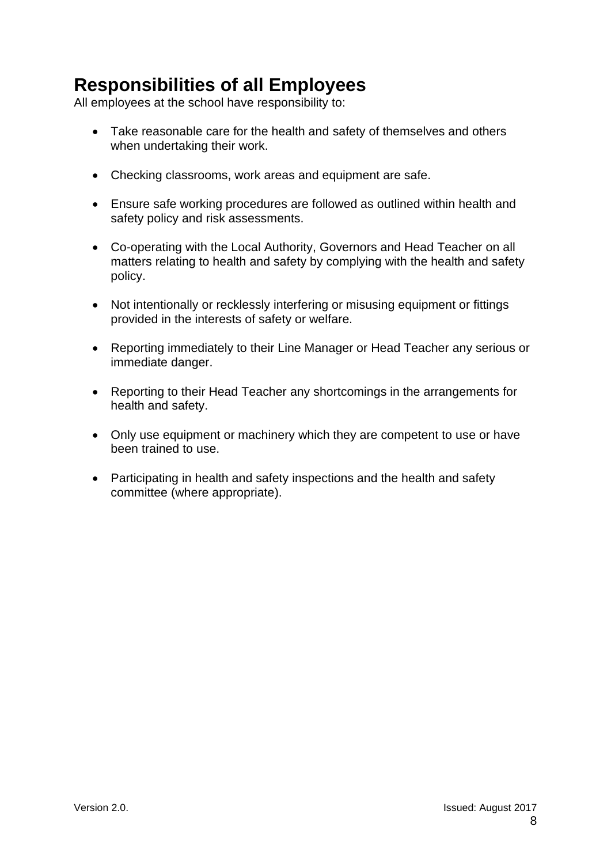# <span id="page-7-0"></span>**Responsibilities of all Employees**

All employees at the school have responsibility to:

- Take reasonable care for the health and safety of themselves and others when undertaking their work.
- Checking classrooms, work areas and equipment are safe.
- Ensure safe working procedures are followed as outlined within health and safety policy and risk assessments.
- Co-operating with the Local Authority, Governors and Head Teacher on all matters relating to health and safety by complying with the health and safety policy.
- Not intentionally or recklessly interfering or misusing equipment or fittings provided in the interests of safety or welfare.
- Reporting immediately to their Line Manager or Head Teacher any serious or immediate danger.
- Reporting to their Head Teacher any shortcomings in the arrangements for health and safety.
- Only use equipment or machinery which they are competent to use or have been trained to use.
- <span id="page-7-1"></span>• Participating in health and safety inspections and the health and safety committee (where appropriate).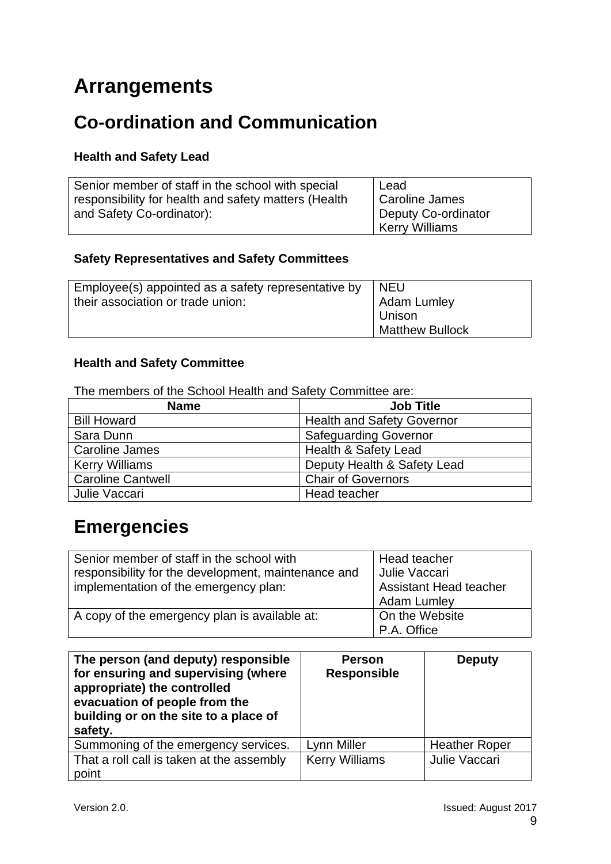# **Arrangements**

# <span id="page-8-0"></span>**Co-ordination and Communication**

### **Health and Safety Lead**

| Senior member of staff in the school with special    | Lead                             |
|------------------------------------------------------|----------------------------------|
| responsibility for health and safety matters (Health | Caroline James                   |
| and Safety Co-ordinator):                            | <sup>1</sup> Deputy Co-ordinator |
|                                                      | <b>Kerry Williams</b>            |

### **Safety Representatives and Safety Committees**

| Employee(s) appointed as a safety representative by | I NEU                  |
|-----------------------------------------------------|------------------------|
| their association or trade union:                   | <b>Adam Lumley</b>     |
|                                                     | Unison                 |
|                                                     | <b>Matthew Bullock</b> |

### **Health and Safety Committee**

The members of the School Health and Safety Committee are:

| <b>Name</b>              | <b>Job Title</b>                  |
|--------------------------|-----------------------------------|
| <b>Bill Howard</b>       | <b>Health and Safety Governor</b> |
| Sara Dunn                | <b>Safeguarding Governor</b>      |
| Caroline James           | <b>Health &amp; Safety Lead</b>   |
| <b>Kerry Williams</b>    | Deputy Health & Safety Lead       |
| <b>Caroline Cantwell</b> | <b>Chair of Governors</b>         |
| Julie Vaccari            | Head teacher                      |

# <span id="page-8-1"></span>**Emergencies**

| Senior member of staff in the school with<br>responsibility for the development, maintenance and<br>implementation of the emergency plan: | Head teacher<br>Julie Vaccari<br><b>Assistant Head teacher</b><br><b>Adam Lumley</b> |
|-------------------------------------------------------------------------------------------------------------------------------------------|--------------------------------------------------------------------------------------|
| A copy of the emergency plan is available at:                                                                                             | On the Website<br>P.A. Office                                                        |

| The person (and deputy) responsible<br>for ensuring and supervising (where<br>appropriate) the controlled<br>evacuation of people from the<br>building or on the site to a place of<br>safety. | <b>Person</b><br><b>Responsible</b> | <b>Deputy</b>        |
|------------------------------------------------------------------------------------------------------------------------------------------------------------------------------------------------|-------------------------------------|----------------------|
| Summoning of the emergency services.                                                                                                                                                           | Lynn Miller                         | <b>Heather Roper</b> |
| That a roll call is taken at the assembly<br>point                                                                                                                                             | <b>Kerry Williams</b>               | Julie Vaccari        |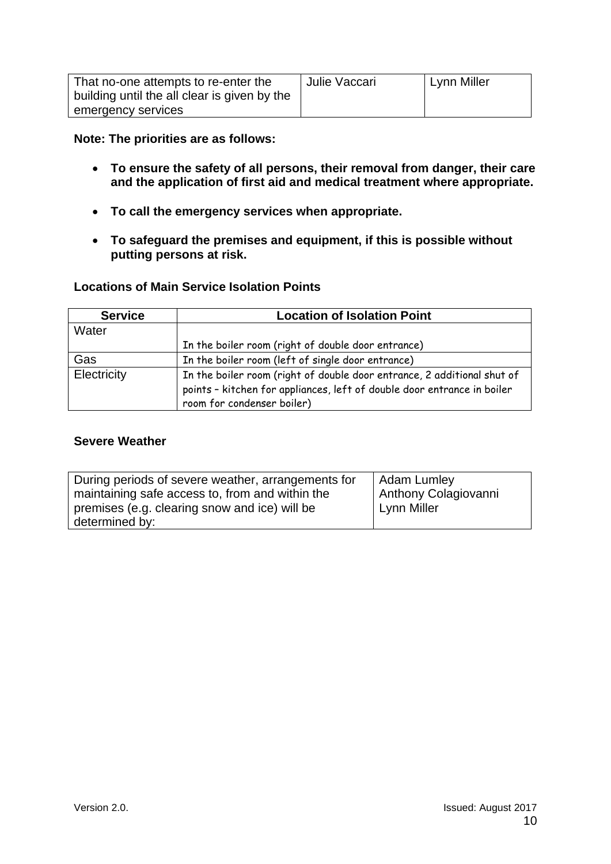| That no-one attempts to re-enter the         | Julie Vaccari | Lynn Miller |
|----------------------------------------------|---------------|-------------|
| building until the all clear is given by the |               |             |
| emergency services                           |               |             |

**Note: The priorities are as follows:**

- **To ensure the safety of all persons, their removal from danger, their care and the application of first aid and medical treatment where appropriate.**
- **To call the emergency services when appropriate.**
- **To safeguard the premises and equipment, if this is possible without putting persons at risk.**

### **Locations of Main Service Isolation Points**

| <b>Service</b> | <b>Location of Isolation Point</b>                                                                                                                                               |
|----------------|----------------------------------------------------------------------------------------------------------------------------------------------------------------------------------|
| Water          |                                                                                                                                                                                  |
|                | In the boiler room (right of double door entrance)                                                                                                                               |
| Gas            | In the boiler room (left of single door entrance)                                                                                                                                |
| Electricity    | In the boiler room (right of double door entrance, 2 additional shut of<br>points - kitchen for appliances, left of double door entrance in boiler<br>room for condenser boiler) |

#### **Severe Weather**

<span id="page-9-0"></span>

| During periods of severe weather, arrangements for              | Adam Lumley          |
|-----------------------------------------------------------------|----------------------|
| maintaining safe access to, from and within the                 | Anthony Colagiovanni |
| premises (e.g. clearing snow and ice) will be<br>determined by: | Lynn Miller          |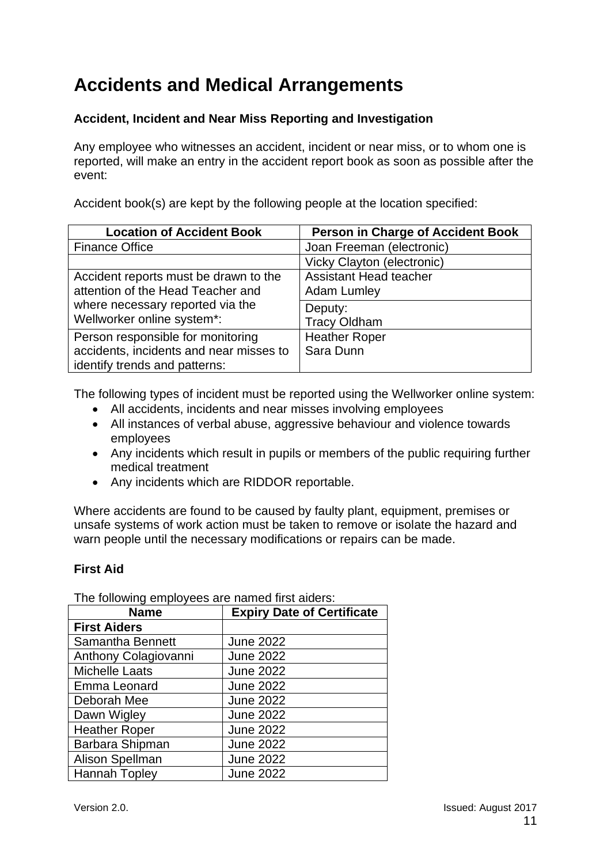# **Accidents and Medical Arrangements**

### **Accident, Incident and Near Miss Reporting and Investigation**

Any employee who witnesses an accident, incident or near miss, or to whom one is reported, will make an entry in the accident report book as soon as possible after the event:

Accident book(s) are kept by the following people at the location specified:

| <b>Location of Accident Book</b>        | <b>Person in Charge of Accident Book</b> |
|-----------------------------------------|------------------------------------------|
| <b>Finance Office</b>                   | Joan Freeman (electronic)                |
|                                         | Vicky Clayton (electronic)               |
| Accident reports must be drawn to the   | <b>Assistant Head teacher</b>            |
| attention of the Head Teacher and       | <b>Adam Lumley</b>                       |
| where necessary reported via the        | Deputy:                                  |
| Wellworker online system*:              | <b>Tracy Oldham</b>                      |
| Person responsible for monitoring       | <b>Heather Roper</b>                     |
| accidents, incidents and near misses to | Sara Dunn                                |
| identify trends and patterns:           |                                          |

The following types of incident must be reported using the Wellworker online system:

- All accidents, incidents and near misses involving employees
- All instances of verbal abuse, aggressive behaviour and violence towards employees
- Any incidents which result in pupils or members of the public requiring further medical treatment
- Any incidents which are RIDDOR reportable.

Where accidents are found to be caused by faulty plant, equipment, premises or unsafe systems of work action must be taken to remove or isolate the hazard and warn people until the necessary modifications or repairs can be made.

### **First Aid**

The following employees are named first aiders:

| <b>Name</b>            | <b>Expiry Date of Certificate</b> |
|------------------------|-----------------------------------|
| <b>First Aiders</b>    |                                   |
| Samantha Bennett       | <b>June 2022</b>                  |
| Anthony Colagiovanni   | <b>June 2022</b>                  |
| <b>Michelle Laats</b>  | <b>June 2022</b>                  |
| Emma Leonard           | <b>June 2022</b>                  |
| Deborah Mee            | <b>June 2022</b>                  |
| Dawn Wigley            | <b>June 2022</b>                  |
| <b>Heather Roper</b>   | <b>June 2022</b>                  |
| Barbara Shipman        | <b>June 2022</b>                  |
| <b>Alison Spellman</b> | <b>June 2022</b>                  |
| <b>Hannah Topley</b>   | <b>June 2022</b>                  |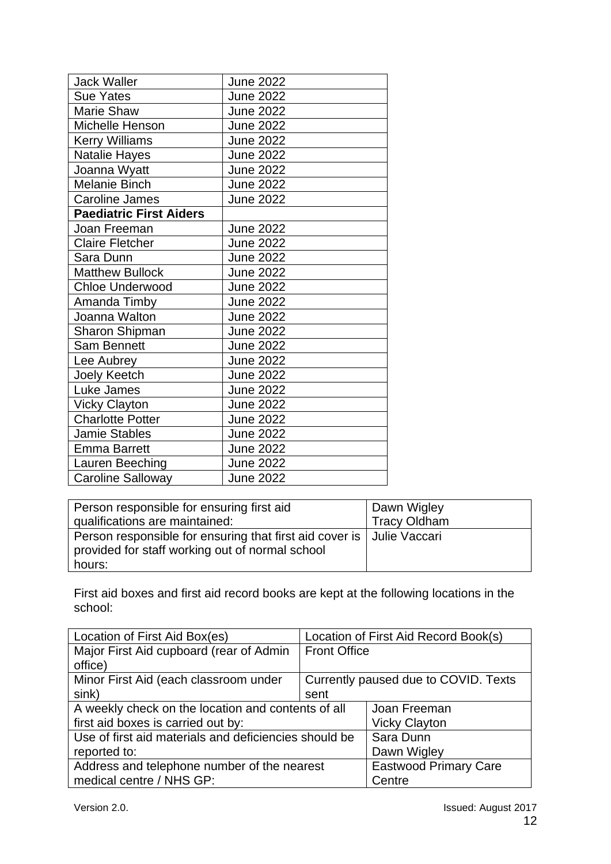| <b>Jack Waller</b>             | <b>June 2022</b> |
|--------------------------------|------------------|
| <b>Sue Yates</b>               | <b>June 2022</b> |
| <b>Marie Shaw</b>              | <b>June 2022</b> |
| Michelle Henson                | <b>June 2022</b> |
| <b>Kerry Williams</b>          | <b>June 2022</b> |
| Natalie Hayes                  | <b>June 2022</b> |
| Joanna Wyatt                   | <b>June 2022</b> |
| <b>Melanie Binch</b>           | <b>June 2022</b> |
| <b>Caroline James</b>          | June 2022        |
| <b>Paediatric First Aiders</b> |                  |
| Joan Freeman                   | <b>June 2022</b> |
| <b>Claire Fletcher</b>         | <b>June 2022</b> |
| Sara Dunn                      | <b>June 2022</b> |
| <b>Matthew Bullock</b>         | <b>June 2022</b> |
| <b>Chloe Underwood</b>         | <b>June 2022</b> |
| Amanda Timby                   | <b>June 2022</b> |
| Joanna Walton                  | <b>June 2022</b> |
| Sharon Shipman                 | <b>June 2022</b> |
| <b>Sam Bennett</b>             | <b>June 2022</b> |
| Lee Aubrey                     | <b>June 2022</b> |
| Joely Keetch                   | <b>June 2022</b> |
| Luke James                     | <b>June 2022</b> |
| <b>Vicky Clayton</b>           | <b>June 2022</b> |
| <b>Charlotte Potter</b>        | <b>June 2022</b> |
| <b>Jamie Stables</b>           | <b>June 2022</b> |
| <b>Emma Barrett</b>            | <b>June 2022</b> |
| Lauren Beeching                | <b>June 2022</b> |
| <b>Caroline Salloway</b>       | <b>June 2022</b> |

| Person responsible for ensuring first aid                               | Dawn Wigley         |
|-------------------------------------------------------------------------|---------------------|
| qualifications are maintained:                                          | <b>Tracy Oldham</b> |
| Person responsible for ensuring that first aid cover is   Julie Vaccari |                     |
| provided for staff working out of normal school                         |                     |
| hours:                                                                  |                     |

First aid boxes and first aid record books are kept at the following locations in the school:

| Location of First Aid Box(es)                         | Location of First Aid Record Book(s) |                              |
|-------------------------------------------------------|--------------------------------------|------------------------------|
| Major First Aid cupboard (rear of Admin               | <b>Front Office</b>                  |                              |
| office)                                               |                                      |                              |
| Minor First Aid (each classroom under                 | Currently paused due to COVID. Texts |                              |
| sink)                                                 | sent                                 |                              |
| A weekly check on the location and contents of all    |                                      | Joan Freeman                 |
| first aid boxes is carried out by:                    |                                      | <b>Vicky Clayton</b>         |
| Use of first aid materials and deficiencies should be |                                      | Sara Dunn                    |
| reported to:                                          |                                      | Dawn Wigley                  |
| Address and telephone number of the nearest           |                                      | <b>Eastwood Primary Care</b> |
| medical centre / NHS GP:                              |                                      | Centre                       |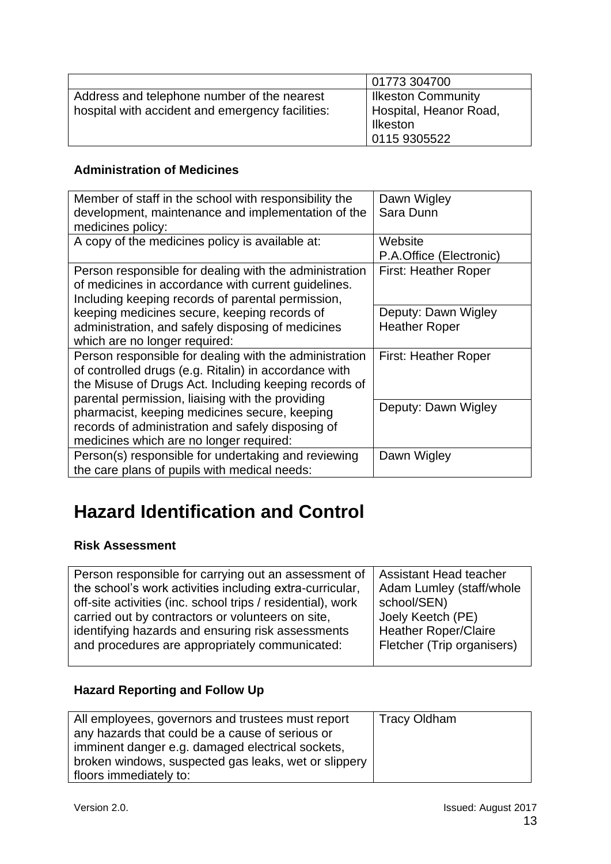|                                                  | 01773 304700              |
|--------------------------------------------------|---------------------------|
| Address and telephone number of the nearest      | <b>Ilkeston Community</b> |
| hospital with accident and emergency facilities: | Hospital, Heanor Road.    |
|                                                  | Ilkeston                  |
|                                                  | 0115 9305522              |

### **Administration of Medicines**

| Member of staff in the school with responsibility the  | Dawn Wigley                 |
|--------------------------------------------------------|-----------------------------|
| development, maintenance and implementation of the     | Sara Dunn                   |
| medicines policy:                                      |                             |
| A copy of the medicines policy is available at:        | Website                     |
|                                                        | P.A.Office (Electronic)     |
| Person responsible for dealing with the administration | <b>First: Heather Roper</b> |
| of medicines in accordance with current guidelines.    |                             |
| Including keeping records of parental permission,      |                             |
| keeping medicines secure, keeping records of           | Deputy: Dawn Wigley         |
| administration, and safely disposing of medicines      | <b>Heather Roper</b>        |
| which are no longer required:                          |                             |
| Person responsible for dealing with the administration | <b>First: Heather Roper</b> |
| of controlled drugs (e.g. Ritalin) in accordance with  |                             |
| the Misuse of Drugs Act. Including keeping records of  |                             |
| parental permission, liaising with the providing       |                             |
| pharmacist, keeping medicines secure, keeping          | Deputy: Dawn Wigley         |
| records of administration and safely disposing of      |                             |
| medicines which are no longer required:                |                             |
| Person(s) responsible for undertaking and reviewing    | Dawn Wigley                 |
| the care plans of pupils with medical needs:           |                             |

# <span id="page-12-0"></span>**Hazard Identification and Control**

### **Risk Assessment**

| Person responsible for carrying out an assessment of        | Assistant Head teacher      |
|-------------------------------------------------------------|-----------------------------|
| the school's work activities including extra-curricular,    | Adam Lumley (staff/whole    |
| off-site activities (inc. school trips / residential), work | school/SEN)                 |
| carried out by contractors or volunteers on site,           | Joely Keetch (PE)           |
| identifying hazards and ensuring risk assessments           | <b>Heather Roper/Claire</b> |
| and procedures are appropriately communicated:              | Fletcher (Trip organisers)  |
|                                                             |                             |

### **Hazard Reporting and Follow Up**

| All employees, governors and trustees must report    | Tracy Oldham |
|------------------------------------------------------|--------------|
| any hazards that could be a cause of serious or      |              |
| imminent danger e.g. damaged electrical sockets,     |              |
| broken windows, suspected gas leaks, wet or slippery |              |
| floors immediately to:                               |              |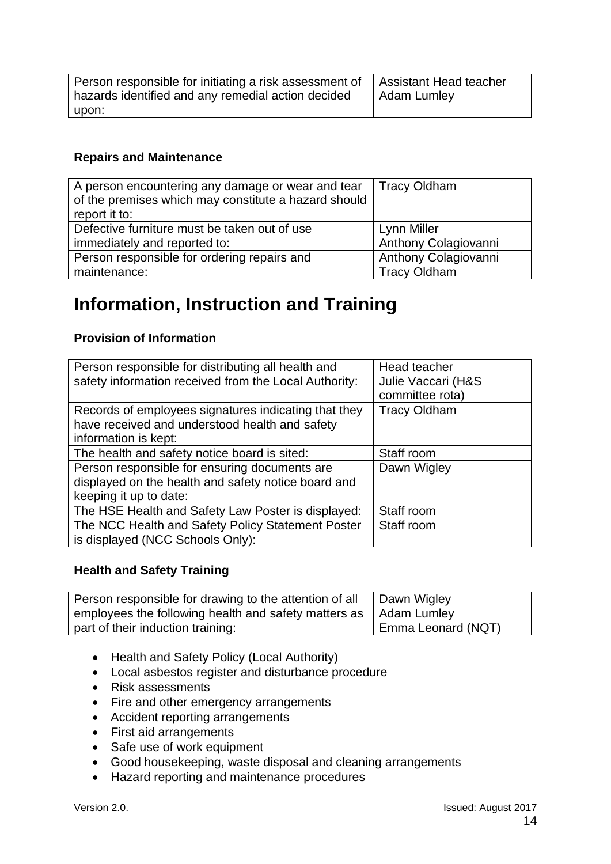| Person responsible for initiating a risk assessment of | Assistant Head teacher |
|--------------------------------------------------------|------------------------|
| hazards identified and any remedial action decided     | Adam Lumley            |
| upon:                                                  |                        |

### **Repairs and Maintenance**

| A person encountering any damage or wear and tear<br>of the premises which may constitute a hazard should<br>report it to: | <b>Tracy Oldham</b>  |
|----------------------------------------------------------------------------------------------------------------------------|----------------------|
| Defective furniture must be taken out of use                                                                               | Lynn Miller          |
| immediately and reported to:                                                                                               | Anthony Colagiovanni |
| Person responsible for ordering repairs and                                                                                | Anthony Colagiovanni |
| maintenance:                                                                                                               | <b>Tracy Oldham</b>  |

### <span id="page-13-0"></span>**Information, Instruction and Training**

### **Provision of Information**

| Person responsible for distributing all health and<br>safety information received from the Local Authority:                    | Head teacher<br>Julie Vaccari (H&S<br>committee rota) |
|--------------------------------------------------------------------------------------------------------------------------------|-------------------------------------------------------|
| Records of employees signatures indicating that they<br>have received and understood health and safety<br>information is kept: | <b>Tracy Oldham</b>                                   |
| The health and safety notice board is sited:                                                                                   | Staff room                                            |
| Person responsible for ensuring documents are<br>displayed on the health and safety notice board and<br>keeping it up to date: | Dawn Wigley                                           |
| The HSE Health and Safety Law Poster is displayed:                                                                             | Staff room                                            |
| The NCC Health and Safety Policy Statement Poster<br>is displayed (NCC Schools Only):                                          | Staff room                                            |

### **Health and Safety Training**

| Person responsible for drawing to the attention of all<br>employees the following health and safety matters as   Adam Lumley | Dawn Wigley        |
|------------------------------------------------------------------------------------------------------------------------------|--------------------|
| part of their induction training:                                                                                            | Emma Leonard (NQT) |

- Health and Safety Policy (Local Authority)
- Local asbestos register and disturbance procedure
- Risk assessments
- Fire and other emergency arrangements
- Accident reporting arrangements
- First aid arrangements
- Safe use of work equipment
- Good housekeeping, waste disposal and cleaning arrangements
- Hazard reporting and maintenance procedures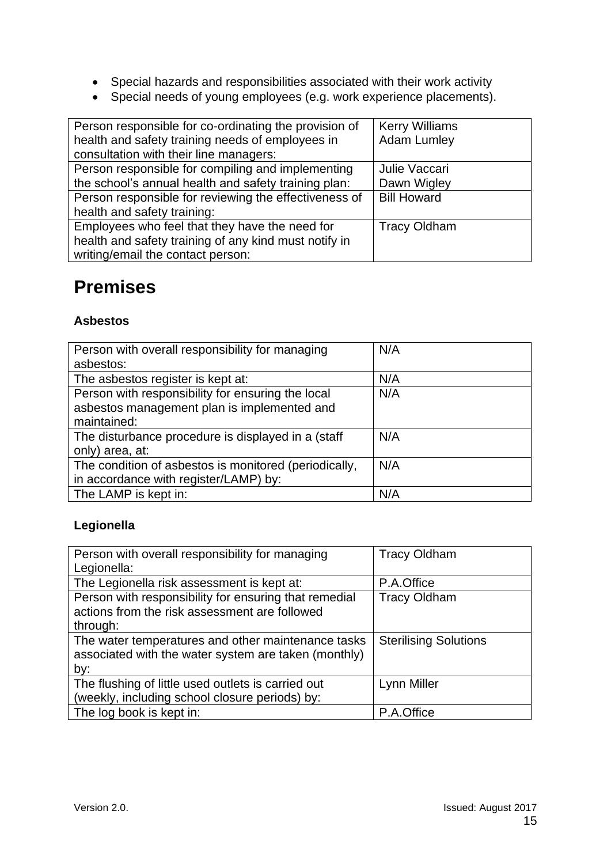- Special hazards and responsibilities associated with their work activity
- Special needs of young employees (e.g. work experience placements).

| Person responsible for co-ordinating the provision of | <b>Kerry Williams</b> |
|-------------------------------------------------------|-----------------------|
| health and safety training needs of employees in      | <b>Adam Lumley</b>    |
| consultation with their line managers:                |                       |
| Person responsible for compiling and implementing     | Julie Vaccari         |
| the school's annual health and safety training plan:  | Dawn Wigley           |
| Person responsible for reviewing the effectiveness of | <b>Bill Howard</b>    |
| health and safety training:                           |                       |
| Employees who feel that they have the need for        | <b>Tracy Oldham</b>   |
| health and safety training of any kind must notify in |                       |
| writing/email the contact person:                     |                       |

# <span id="page-14-0"></span>**Premises**

### **Asbestos**

| Person with overall responsibility for managing       | N/A |
|-------------------------------------------------------|-----|
| asbestos:                                             |     |
| The asbestos register is kept at:                     | N/A |
| Person with responsibility for ensuring the local     | N/A |
| asbestos management plan is implemented and           |     |
| maintained:                                           |     |
| The disturbance procedure is displayed in a (staff    | N/A |
| only) area, at:                                       |     |
| The condition of asbestos is monitored (periodically, | N/A |
| in accordance with register/LAMP) by:                 |     |
| The LAMP is kept in:                                  | N/A |

### **Legionella**

| Person with overall responsibility for managing       | <b>Tracy Oldham</b>          |
|-------------------------------------------------------|------------------------------|
| Legionella:                                           |                              |
| The Legionella risk assessment is kept at:            | P.A.Office                   |
| Person with responsibility for ensuring that remedial | <b>Tracy Oldham</b>          |
| actions from the risk assessment are followed         |                              |
| through:                                              |                              |
| The water temperatures and other maintenance tasks    | <b>Sterilising Solutions</b> |
| associated with the water system are taken (monthly)  |                              |
| by:                                                   |                              |
| The flushing of little used outlets is carried out    | Lynn Miller                  |
| (weekly, including school closure periods) by:        |                              |
| The log book is kept in:                              | P.A.Office                   |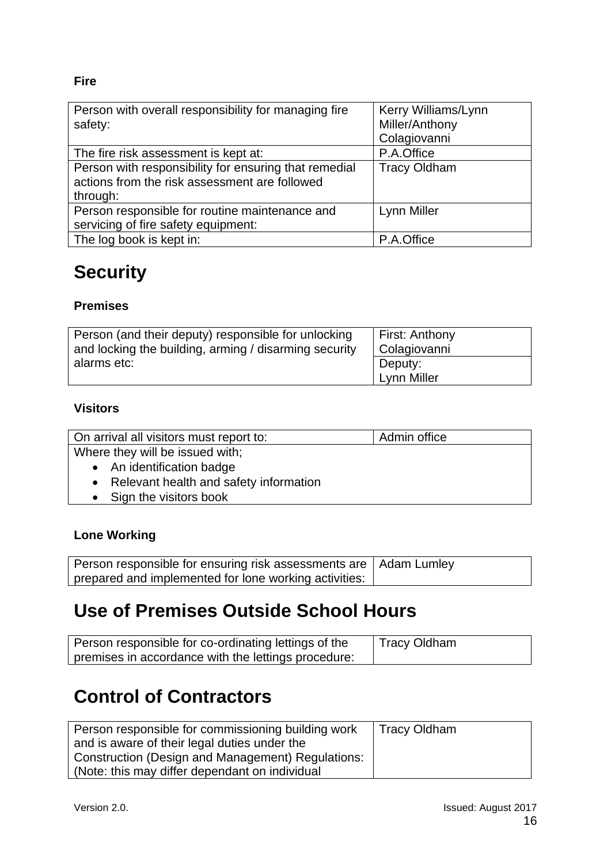### **Fire**

| Person with overall responsibility for managing fire  | Kerry Williams/Lynn |
|-------------------------------------------------------|---------------------|
| safety:                                               | Miller/Anthony      |
|                                                       | Colagiovanni        |
| The fire risk assessment is kept at:                  | P.A.Office          |
| Person with responsibility for ensuring that remedial | <b>Tracy Oldham</b> |
| actions from the risk assessment are followed         |                     |
| through:                                              |                     |
| Person responsible for routine maintenance and        | Lynn Miller         |
| servicing of fire safety equipment:                   |                     |
| The log book is kept in:                              | P.A.Office          |

# <span id="page-15-0"></span>**Security**

### **Premises**

| Person (and their deputy) responsible for unlocking   | <b>First: Anthony</b>  |
|-------------------------------------------------------|------------------------|
| and locking the building, arming / disarming security | Colagiovanni           |
| alarms etc:                                           | Deputy:<br>Lynn Miller |

### **Visitors**

| On arrival all visitors must report to:  | Admin office |
|------------------------------------------|--------------|
| Where they will be issued with;          |              |
| • An identification badge                |              |
| • Relevant health and safety information |              |
| • Sign the visitors book                 |              |

### **Lone Working**

| Person responsible for ensuring risk assessments are   Adam Lumley |  |
|--------------------------------------------------------------------|--|
| prepared and implemented for lone working activities:              |  |

# <span id="page-15-1"></span>**Use of Premises Outside School Hours**

| Person responsible for co-ordinating lettings of the | I Tracy Oldham |
|------------------------------------------------------|----------------|
| premises in accordance with the lettings procedure:  |                |

# <span id="page-15-2"></span>**Control of Contractors**

| Person responsible for commissioning building work | <b>Tracy Oldham</b> |
|----------------------------------------------------|---------------------|
| and is aware of their legal duties under the       |                     |
| Construction (Design and Management) Regulations:  |                     |
| (Note: this may differ dependant on individual     |                     |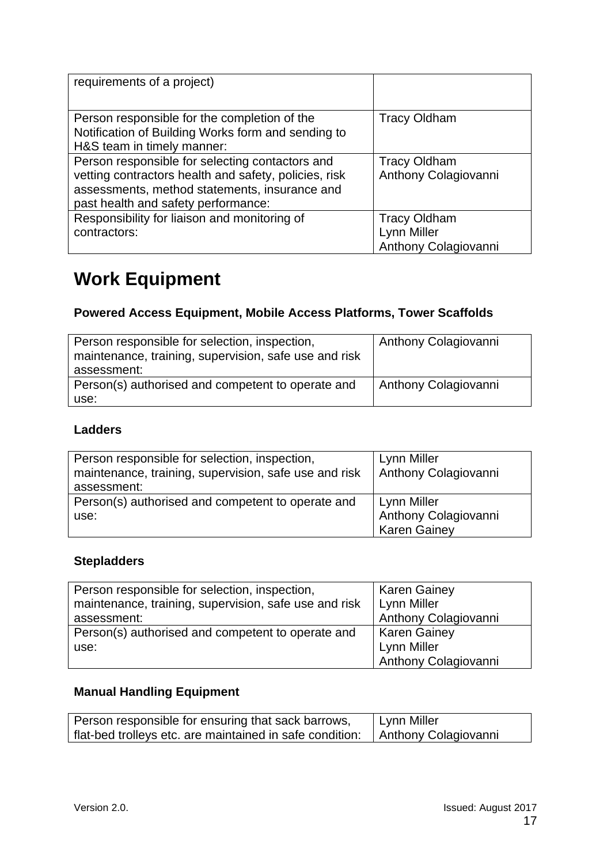| requirements of a project)                                                                                                                                                                       |                                                            |
|--------------------------------------------------------------------------------------------------------------------------------------------------------------------------------------------------|------------------------------------------------------------|
| Person responsible for the completion of the<br>Notification of Building Works form and sending to<br>H&S team in timely manner:                                                                 | <b>Tracy Oldham</b>                                        |
| Person responsible for selecting contactors and<br>vetting contractors health and safety, policies, risk<br>assessments, method statements, insurance and<br>past health and safety performance: | <b>Tracy Oldham</b><br>Anthony Colagiovanni                |
| Responsibility for liaison and monitoring of<br>contractors:                                                                                                                                     | <b>Tracy Oldham</b><br>Lynn Miller<br>Anthony Colagiovanni |

# <span id="page-16-0"></span>**Work Equipment**

### **Powered Access Equipment, Mobile Access Platforms, Tower Scaffolds**

| Person responsible for selection, inspection,<br>maintenance, training, supervision, safe use and risk<br>assessment: | Anthony Colagiovanni |
|-----------------------------------------------------------------------------------------------------------------------|----------------------|
| Person(s) authorised and competent to operate and<br>use:                                                             | Anthony Colagiovanni |

### **Ladders**

| Person responsible for selection, inspection,<br>maintenance, training, supervision, safe use and risk<br>assessment: | Lynn Miller<br>Anthony Colagiovanni |
|-----------------------------------------------------------------------------------------------------------------------|-------------------------------------|
| Person(s) authorised and competent to operate and                                                                     | Lynn Miller                         |
| use:                                                                                                                  | Anthony Colagiovanni                |
|                                                                                                                       | <b>Karen Gainey</b>                 |

### **Stepladders**

| Person responsible for selection, inspection,         | <b>Karen Gainey</b>  |
|-------------------------------------------------------|----------------------|
| maintenance, training, supervision, safe use and risk | Lynn Miller          |
| assessment:                                           | Anthony Colagiovanni |
| Person(s) authorised and competent to operate and     | <b>Karen Gainey</b>  |
| use:                                                  | Lynn Miller          |
|                                                       | Anthony Colagiovanni |

### **Manual Handling Equipment**

| Person responsible for ensuring that sack barrows,                              | Lynn Miller |
|---------------------------------------------------------------------------------|-------------|
| flat-bed trolleys etc. are maintained in safe condition:   Anthony Colagiovanni |             |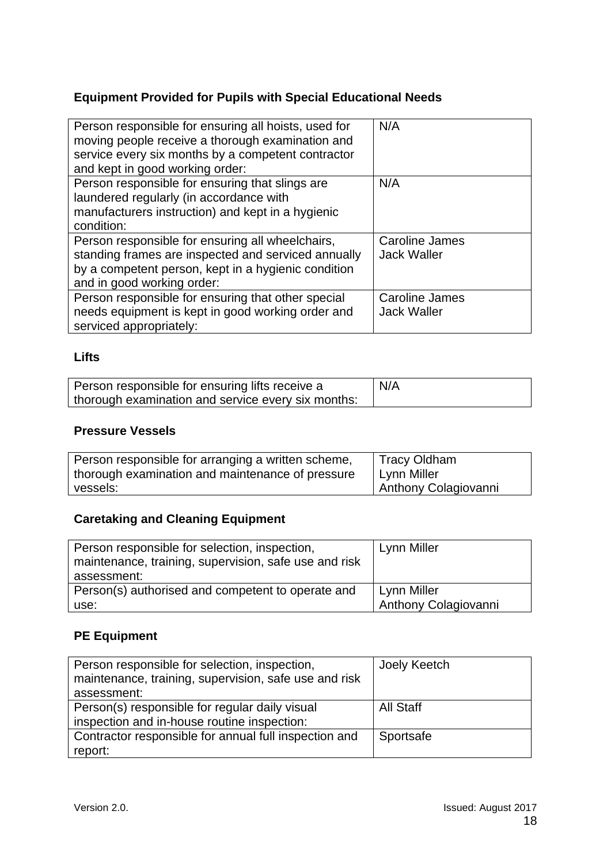### **Equipment Provided for Pupils with Special Educational Needs**

| Person responsible for ensuring all hoists, used for<br>moving people receive a thorough examination and<br>service every six months by a competent contractor<br>and kept in good working order: | N/A                                  |
|---------------------------------------------------------------------------------------------------------------------------------------------------------------------------------------------------|--------------------------------------|
| Person responsible for ensuring that slings are<br>laundered regularly (in accordance with<br>manufacturers instruction) and kept in a hygienic<br>condition:                                     | N/A                                  |
| Person responsible for ensuring all wheelchairs,<br>standing frames are inspected and serviced annually<br>by a competent person, kept in a hygienic condition<br>and in good working order:      | Caroline James<br><b>Jack Waller</b> |
| Person responsible for ensuring that other special<br>needs equipment is kept in good working order and<br>serviced appropriately:                                                                | Caroline James<br><b>Jack Waller</b> |

### **Lifts**

| Person responsible for ensuring lifts receive a    | N/A |
|----------------------------------------------------|-----|
| thorough examination and service every six months: |     |

### **Pressure Vessels**

| Person responsible for arranging a written scheme, | Tracy Oldham         |
|----------------------------------------------------|----------------------|
| thorough examination and maintenance of pressure   | Lynn Miller          |
| vessels:                                           | Anthony Colagiovanni |

### **Caretaking and Cleaning Equipment**

| Person responsible for selection, inspection,<br>maintenance, training, supervision, safe use and risk<br>assessment: | Lynn Miller                 |
|-----------------------------------------------------------------------------------------------------------------------|-----------------------------|
| Person(s) authorised and competent to operate and                                                                     | Lynn Miller                 |
| use:                                                                                                                  | <b>Anthony Colagiovanni</b> |

### **PE Equipment**

| Person responsible for selection, inspection,         | Joely Keetch     |
|-------------------------------------------------------|------------------|
| maintenance, training, supervision, safe use and risk |                  |
| assessment:                                           |                  |
| Person(s) responsible for regular daily visual        | <b>All Staff</b> |
| inspection and in-house routine inspection:           |                  |
| Contractor responsible for annual full inspection and | Sportsafe        |
| report:                                               |                  |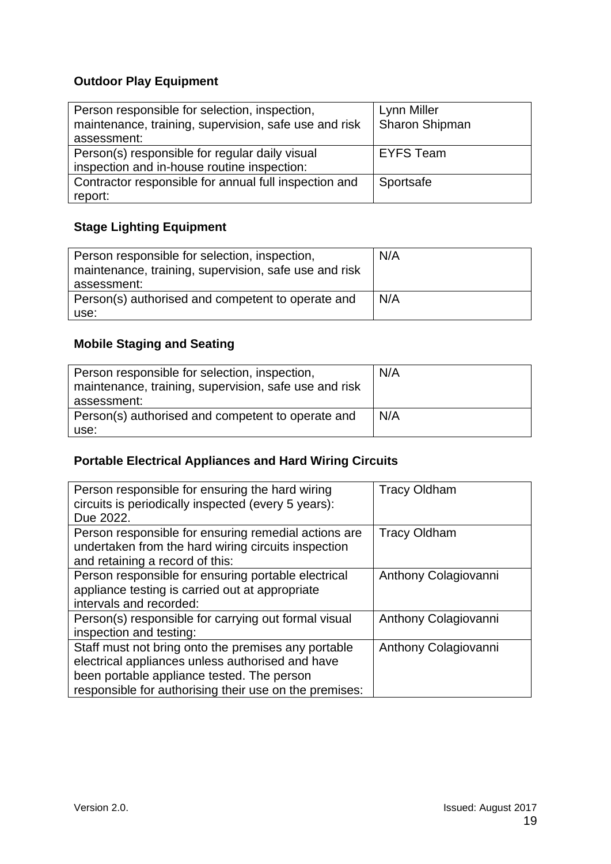### **Outdoor Play Equipment**

| Person responsible for selection, inspection,<br>maintenance, training, supervision, safe use and risk<br>assessment: | Lynn Miller<br><b>Sharon Shipman</b> |
|-----------------------------------------------------------------------------------------------------------------------|--------------------------------------|
| Person(s) responsible for regular daily visual                                                                        | <b>EYFS Team</b>                     |
| inspection and in-house routine inspection:                                                                           |                                      |
| Contractor responsible for annual full inspection and                                                                 | Sportsafe                            |
| report:                                                                                                               |                                      |

### **Stage Lighting Equipment**

| Person responsible for selection, inspection,<br>maintenance, training, supervision, safe use and risk<br>assessment: | N/A |
|-----------------------------------------------------------------------------------------------------------------------|-----|
| Person(s) authorised and competent to operate and                                                                     | N/A |
| use:                                                                                                                  |     |

### **Mobile Staging and Seating**

| Person responsible for selection, inspection,<br>maintenance, training, supervision, safe use and risk<br>assessment: | N/A |
|-----------------------------------------------------------------------------------------------------------------------|-----|
| Person(s) authorised and competent to operate and                                                                     | N/A |
| use:                                                                                                                  |     |

### **Portable Electrical Appliances and Hard Wiring Circuits**

| Person responsible for ensuring the hard wiring<br>circuits is periodically inspected (every 5 years):<br>Due 2022.                                                                                             | <b>Tracy Oldham</b>  |
|-----------------------------------------------------------------------------------------------------------------------------------------------------------------------------------------------------------------|----------------------|
| Person responsible for ensuring remedial actions are<br>undertaken from the hard wiring circuits inspection<br>and retaining a record of this:                                                                  | <b>Tracy Oldham</b>  |
| Person responsible for ensuring portable electrical<br>appliance testing is carried out at appropriate<br>intervals and recorded:                                                                               | Anthony Colagiovanni |
| Person(s) responsible for carrying out formal visual<br>inspection and testing:                                                                                                                                 | Anthony Colagiovanni |
| Staff must not bring onto the premises any portable<br>electrical appliances unless authorised and have<br>been portable appliance tested. The person<br>responsible for authorising their use on the premises: | Anthony Colagiovanni |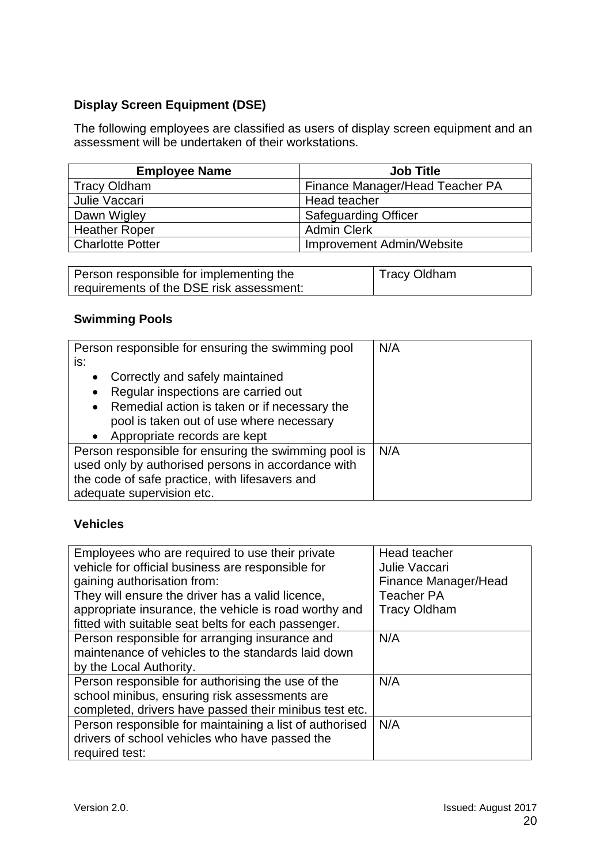### **Display Screen Equipment (DSE)**

The following employees are classified as users of display screen equipment and an assessment will be undertaken of their workstations.

| <b>Employee Name</b>    | <b>Job Title</b>                |
|-------------------------|---------------------------------|
| <b>Tracy Oldham</b>     | Finance Manager/Head Teacher PA |
| Julie Vaccari           | Head teacher                    |
| Dawn Wigley             | <b>Safeguarding Officer</b>     |
| <b>Heather Roper</b>    | <b>Admin Clerk</b>              |
| <b>Charlotte Potter</b> | Improvement Admin/Website       |

| Person responsible for implementing the  | Tracy Oldham |
|------------------------------------------|--------------|
| requirements of the DSE risk assessment: |              |

### **Swimming Pools**

| Person responsible for ensuring the swimming pool         | N/A |
|-----------------------------------------------------------|-----|
| is:                                                       |     |
| Correctly and safely maintained<br>$\bullet$              |     |
| Regular inspections are carried out<br>$\bullet$          |     |
| Remedial action is taken or if necessary the<br>$\bullet$ |     |
| pool is taken out of use where necessary                  |     |
| Appropriate records are kept                              |     |
| Person responsible for ensuring the swimming pool is      | N/A |
| used only by authorised persons in accordance with        |     |
| the code of safe practice, with lifesavers and            |     |
| adequate supervision etc.                                 |     |

### **Vehicles**

| Employees who are required to use their private         | Head teacher         |
|---------------------------------------------------------|----------------------|
| vehicle for official business are responsible for       | Julie Vaccari        |
| gaining authorisation from:                             | Finance Manager/Head |
| They will ensure the driver has a valid licence,        | <b>Teacher PA</b>    |
| appropriate insurance, the vehicle is road worthy and   | <b>Tracy Oldham</b>  |
| fitted with suitable seat belts for each passenger.     |                      |
| Person responsible for arranging insurance and          | N/A                  |
| maintenance of vehicles to the standards laid down      |                      |
| by the Local Authority.                                 |                      |
| Person responsible for authorising the use of the       | N/A                  |
| school minibus, ensuring risk assessments are           |                      |
| completed, drivers have passed their minibus test etc.  |                      |
| Person responsible for maintaining a list of authorised | N/A                  |
| drivers of school vehicles who have passed the          |                      |
| required test:                                          |                      |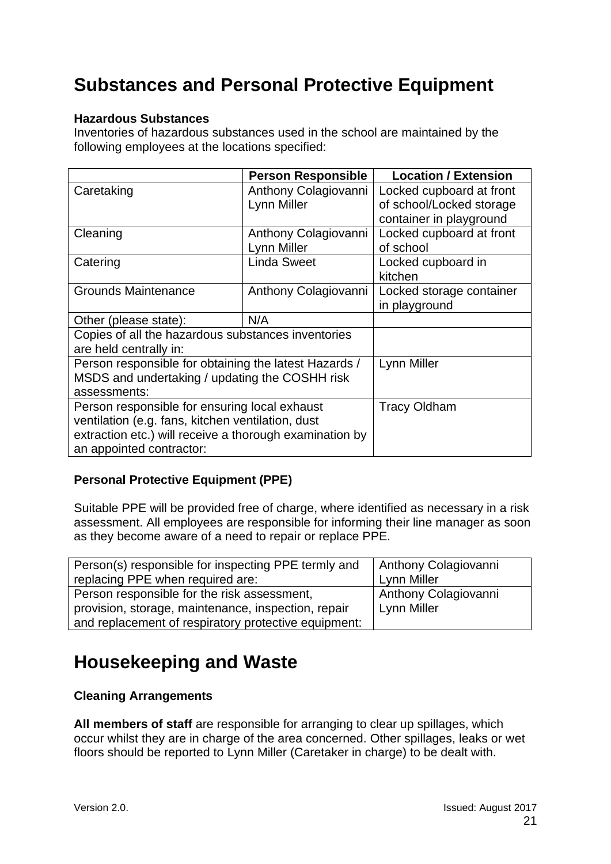# <span id="page-20-0"></span>**Substances and Personal Protective Equipment**

### **Hazardous Substances**

Inventories of hazardous substances used in the school are maintained by the following employees at the locations specified:

|                                                         | <b>Person Responsible</b> | <b>Location / Extension</b> |
|---------------------------------------------------------|---------------------------|-----------------------------|
| Caretaking                                              | Anthony Colagiovanni      | Locked cupboard at front    |
|                                                         | Lynn Miller               | of school/Locked storage    |
|                                                         |                           | container in playground     |
| Cleaning                                                | Anthony Colagiovanni      | Locked cupboard at front    |
|                                                         | Lynn Miller               | of school                   |
| Catering                                                | <b>Linda Sweet</b>        | Locked cupboard in          |
|                                                         |                           | kitchen                     |
| <b>Grounds Maintenance</b>                              | Anthony Colagiovanni      | Locked storage container    |
|                                                         |                           | in playground               |
| Other (please state):                                   | N/A                       |                             |
| Copies of all the hazardous substances inventories      |                           |                             |
| are held centrally in:                                  |                           |                             |
| Person responsible for obtaining the latest Hazards /   |                           | Lynn Miller                 |
| MSDS and undertaking / updating the COSHH risk          |                           |                             |
| assessments:                                            |                           |                             |
| Person responsible for ensuring local exhaust           |                           | <b>Tracy Oldham</b>         |
| ventilation (e.g. fans, kitchen ventilation, dust       |                           |                             |
| extraction etc.) will receive a thorough examination by |                           |                             |
| an appointed contractor:                                |                           |                             |

### **Personal Protective Equipment (PPE)**

Suitable PPE will be provided free of charge, where identified as necessary in a risk assessment. All employees are responsible for informing their line manager as soon as they become aware of a need to repair or replace PPE.

| Person(s) responsible for inspecting PPE termly and  | <b>Anthony Colagiovanni</b> |
|------------------------------------------------------|-----------------------------|
| replacing PPE when required are:                     | Lynn Miller                 |
| Person responsible for the risk assessment,          | Anthony Colagiovanni        |
| provision, storage, maintenance, inspection, repair  | Lynn Miller                 |
| and replacement of respiratory protective equipment: |                             |

# <span id="page-20-1"></span>**Housekeeping and Waste**

### **Cleaning Arrangements**

**All members of staff** are responsible for arranging to clear up spillages, which occur whilst they are in charge of the area concerned. Other spillages, leaks or wet floors should be reported to Lynn Miller (Caretaker in charge) to be dealt with.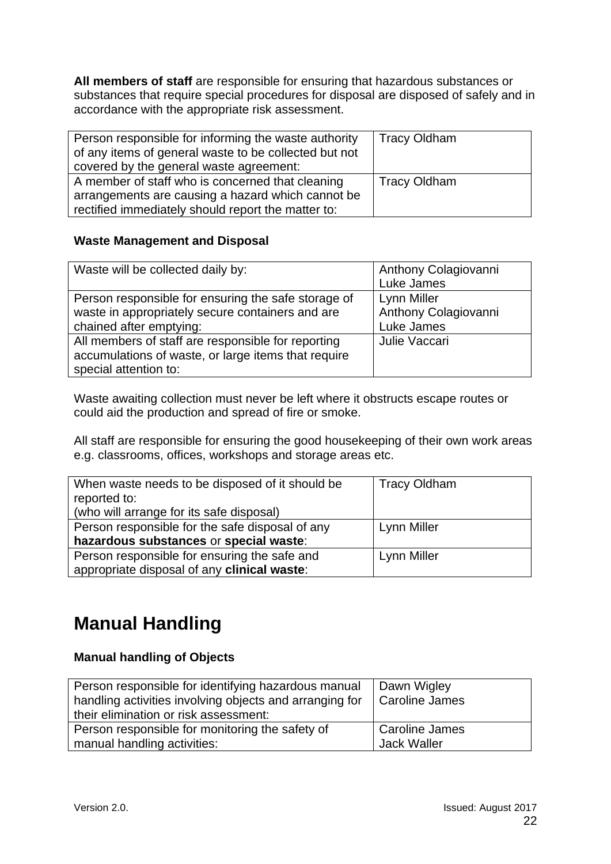**All members of staff** are responsible for ensuring that hazardous substances or substances that require special procedures for disposal are disposed of safely and in accordance with the appropriate risk assessment.

| Person responsible for informing the waste authority<br>of any items of general waste to be collected but not<br>covered by the general waste agreement: | <b>Tracy Oldham</b> |
|----------------------------------------------------------------------------------------------------------------------------------------------------------|---------------------|
| A member of staff who is concerned that cleaning<br>arrangements are causing a hazard which cannot be                                                    | <b>Tracy Oldham</b> |
| rectified immediately should report the matter to:                                                                                                       |                     |

### **Waste Management and Disposal**

| Waste will be collected daily by:                   | Anthony Colagiovanni |
|-----------------------------------------------------|----------------------|
|                                                     | Luke James           |
| Person responsible for ensuring the safe storage of | Lynn Miller          |
| waste in appropriately secure containers and are    | Anthony Colagiovanni |
| chained after emptying:                             | Luke James           |
| All members of staff are responsible for reporting  | Julie Vaccari        |
| accumulations of waste, or large items that require |                      |
| special attention to:                               |                      |

Waste awaiting collection must never be left where it obstructs escape routes or could aid the production and spread of fire or smoke.

All staff are responsible for ensuring the good housekeeping of their own work areas e.g. classrooms, offices, workshops and storage areas etc.

| When waste needs to be disposed of it should be | <b>Tracy Oldham</b> |
|-------------------------------------------------|---------------------|
| reported to:                                    |                     |
| (who will arrange for its safe disposal)        |                     |
| Person responsible for the safe disposal of any | Lynn Miller         |
| hazardous substances or special waste:          |                     |
| Person responsible for ensuring the safe and    | Lynn Miller         |
| appropriate disposal of any clinical waste:     |                     |

# <span id="page-21-0"></span>**Manual Handling**

### **Manual handling of Objects**

| Person responsible for identifying hazardous manual<br>handling activities involving objects and arranging for | Dawn Wigley<br>Caroline James |
|----------------------------------------------------------------------------------------------------------------|-------------------------------|
| their elimination or risk assessment:                                                                          |                               |
| Person responsible for monitoring the safety of                                                                | Caroline James                |
| manual handling activities:                                                                                    | <b>Jack Waller</b>            |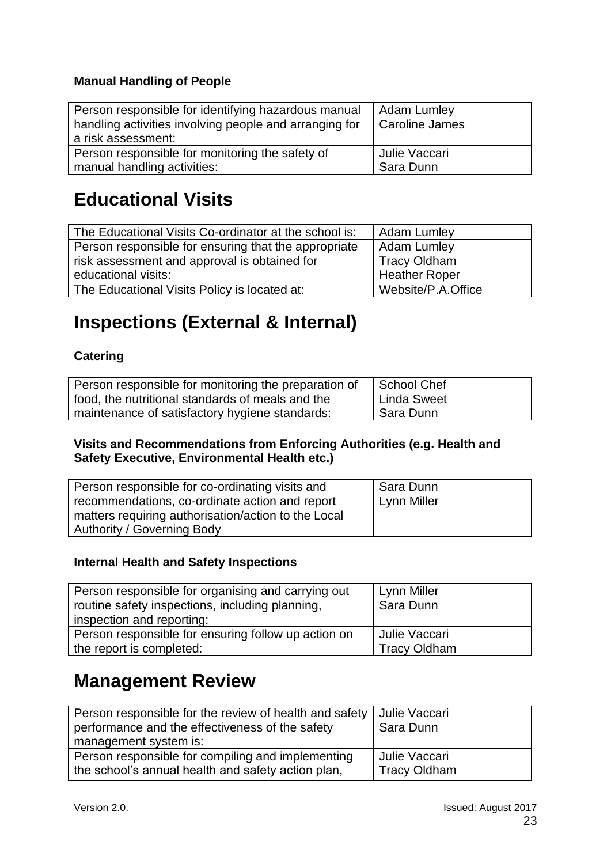### **Manual Handling of People**

| Person responsible for identifying hazardous manual<br>handling activities involving people and arranging for<br>a risk assessment: | Adam Lumley<br>Caroline James |
|-------------------------------------------------------------------------------------------------------------------------------------|-------------------------------|
| Person responsible for monitoring the safety of                                                                                     | Julie Vaccari                 |
| manual handling activities:                                                                                                         | Sara Dunn                     |

# <span id="page-22-0"></span>**Educational Visits**

| The Educational Visits Co-ordinator at the school is: | <b>Adam Lumley</b>  |
|-------------------------------------------------------|---------------------|
| Person responsible for ensuring that the appropriate  | Adam Lumley         |
| risk assessment and approval is obtained for          | <b>Tracy Oldham</b> |
| educational visits:                                   | Heather Roper       |
| The Educational Visits Policy is located at:          | Website/P.A.Office  |

# <span id="page-22-1"></span>**Inspections (External & Internal)**

### **Catering**

| Person responsible for monitoring the preparation of | School Chef |
|------------------------------------------------------|-------------|
| food, the nutritional standards of meals and the     | Linda Sweet |
| maintenance of satisfactory hygiene standards:       | Sara Dunn   |

#### **Visits and Recommendations from Enforcing Authorities (e.g. Health and Safety Executive, Environmental Health etc.)**

| Person responsible for co-ordinating visits and                                   | Sara Dunn   |
|-----------------------------------------------------------------------------------|-------------|
| recommendations, co-ordinate action and report                                    | Lynn Miller |
| matters requiring authorisation/action to the Local<br>Authority / Governing Body |             |

### **Internal Health and Safety Inspections**

| Person responsible for organising and carrying out<br>routine safety inspections, including planning,<br>inspection and reporting: | Lynn Miller<br>Sara Dunn |
|------------------------------------------------------------------------------------------------------------------------------------|--------------------------|
| Person responsible for ensuring follow up action on                                                                                | Julie Vaccari            |
| the report is completed:                                                                                                           | <b>Tracy Oldham</b>      |

### <span id="page-22-2"></span>**Management Review**

| Person responsible for the review of health and safety | Julie Vaccari       |
|--------------------------------------------------------|---------------------|
| performance and the effectiveness of the safety        | Sara Dunn           |
| management system is:                                  |                     |
| Person responsible for compiling and implementing      | Julie Vaccari       |
| the school's annual health and safety action plan,     | <b>Tracy Oldham</b> |